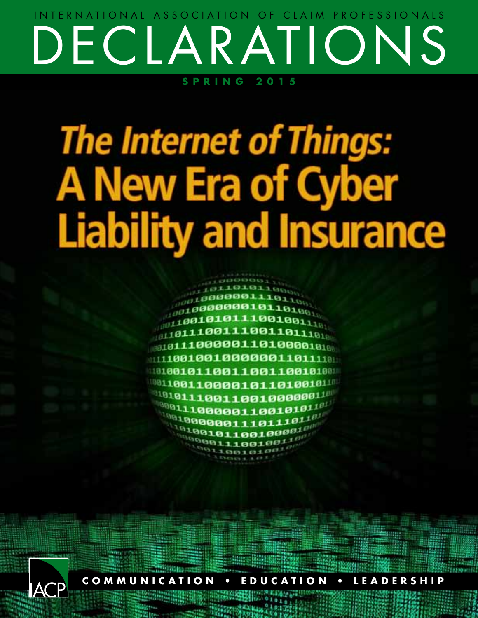### DECLARATIONS **SPRING 2015** INTERNATIONAL ASSOCIATION OF CLAIM PROFESSIONALS

# **The Internet of Things: A New Era of Cyber Liability and Insurance**



**COMMUNICATION • EDUCATION • LEADERSHIP**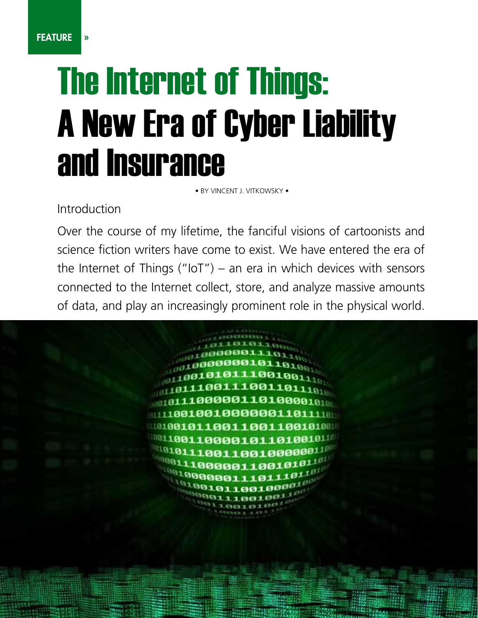## The Internet of Things: A New Era of Cyber Liability and Insurance

• BY VINCENT J. VITKOWSKY •

Introduction

PAGE 14 DECLARATIONS SPRING 2015

Over the course of my lifetime, the fanciful visions of cartoonists and science fiction writers have come to exist. We have entered the era of the Internet of Things (" $IoT$ ") – an era in which devices with sensors connected to the Internet collect, store, and analyze massive amounts of data, and play an increasingly prominent role in the physical world.

> 00001101 0010000001 01100110011001 10000101101001 01100100000011 300011001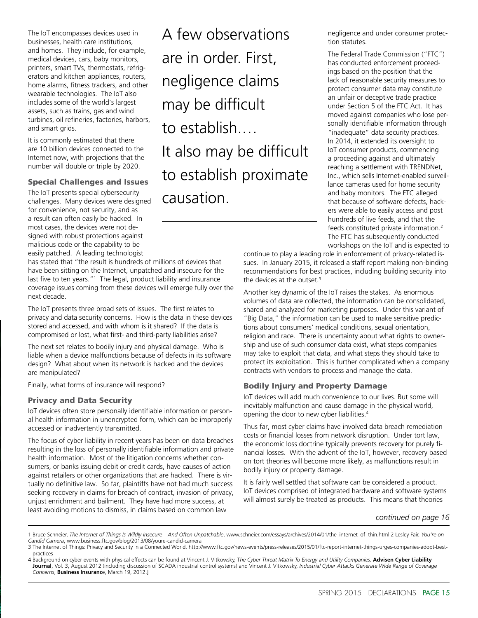The IoT encompasses devices used in businesses, health care institutions, and homes. They include, for example, medical devices, cars, baby monitors, printers, smart TVs, thermostats, refrigerators and kitchen appliances, routers, home alarms, fitness trackers, and other wearable technologies. The IoT also includes some of the world's largest assets, such as trains, gas and wind turbines, oil refineries, factories, harbors, and smart grids.

It is commonly estimated that there are 10 billion devices connected to the Internet now, with projections that the number will double or triple by 2020.

#### Special Challenges and Issues

The IoT presents special cybersecurity challenges. Many devices were designed for convenience, not security, and as a result can often easily be hacked. In most cases, the devices were not designed with robust protections against malicious code or the capability to be easily patched. A leading technologist

has stated that "the result is hundreds of millions of devices that have been sitting on the Internet, unpatched and insecure for the last five to ten years."<sup>1</sup> The legal, product liability and insurance coverage issues coming from these devices will emerge fully over the next decade.

The IoT presents three broad sets of issues. The first relates to privacy and data security concerns. How is the data in these devices stored and accessed, and with whom is it shared? If the data is compromised or lost, what first- and third-party liabilities arise?

The next set relates to bodily injury and physical damage. Who is liable when a device malfunctions because of defects in its software design? What about when its network is hacked and the devices are manipulated?

Finally, what forms of insurance will respond?

#### Privacy and Data Security

IoT devices often store personally identifiable information or personal health information in unencrypted form, which can be improperly accessed or inadvertently transmitted.

The focus of cyber liability in recent years has been on data breaches resulting in the loss of personally identifiable information and private health information. Most of the litigation concerns whether consumers, or banks issuing debit or credit cards, have causes of action against retailers or other organizations that are hacked. There is virtually no definitive law. So far, plaintiffs have not had much success seeking recovery in claims for breach of contract, invasion of privacy, unjust enrichment and bailment. They have had more success, at least avoiding motions to dismiss, in claims based on common law

A few observations are in order. First, negligence claims may be difficult to establish.… It also may be difficult to establish proximate causation.

negligence and under consumer protection statutes.

The Federal Trade Commission ("FTC") has conducted enforcement proceedings based on the position that the lack of reasonable security measures to protect consumer data may constitute an unfair or deceptive trade practice under Section 5 of the FTC Act. It has moved against companies who lose personally identifiable information through "inadequate" data security practices. In 2014, it extended its oversight to IoT consumer products, commencing a proceeding against and ultimately reaching a settlement with TRENDNet, Inc., which sells Internet-enabled surveillance cameras used for home security and baby monitors. The FTC alleged that because of software defects, hackers were able to easily access and post hundreds of live feeds, and that the feeds constituted private information.2 The FTC has subsequently conducted workshops on the IoT and is expected to

continue to play a leading role in enforcement of privacy-related issues. In January 2015, it released a staff report making non-binding recommendations for best practices, including building security into the devices at the outset. $3$ 

Another key dynamic of the IoT raises the stakes. As enormous volumes of data are collected, the information can be consolidated, shared and analyzed for marketing purposes. Under this variant of "Big Data," the information can be used to make sensitive predictions about consumers' medical conditions, sexual orientation, religion and race. There is uncertainty about what rights to ownership and use of such consumer data exist, what steps companies may take to exploit that data, and what steps they should take to protect its exploitation. This is further complicated when a company contracts with vendors to process and manage the data.

#### Bodily Injury and Property Damage

IoT devices will add much convenience to our lives. But some will inevitably malfunction and cause damage in the physical world, opening the door to new cyber liabilities.4

Thus far, most cyber claims have involved data breach remediation costs or financial losses from network disruption. Under tort law, the economic loss doctrine typically prevents recovery for purely financial losses. With the advent of the IoT, however, recovery based on tort theories will become more likely, as malfunctions result in bodily injury or property damage.

It is fairly well settled that software can be considered a product. IoT devices comprised of integrated hardware and software systems will almost surely be treated as products. This means that theories

*continued on page 16*

<sup>1</sup> Bruce Schneier, *The Internet of Things Is Wildly Insecure – And Often Unpatchable*, www.schneier.com/essays/archives/2014/01/the\_internet\_of\_thin.html 2 Lesley Fair, *You're on Candid Camera*, www.business.ftc.gov/blog/2013/08/youre-candid-camera

<sup>3</sup> The Internet of Things: Privacy and Security in a Connected World, http://www.ftc.gov/news-events/press-releases/2015/01/ftc-report-internet-things-urges-companies-adopt-bestpractices

<sup>4</sup> Background on cyber events with physical effects can be found at Vincent J. Vitkowsky, T*he Cyber Threat Matrix To Energy and Utility Companies,* **Advisen Cyber Liability**  Journal, Vol. 3, August 2012 (including discussion of SCADA industrial control systems) and Vincent J. Vitkowsky, *Industrial Cyber Attacks Generate Wide Range of Coverage Concerns*, **Business Insuranc**e, March 19, 2012.]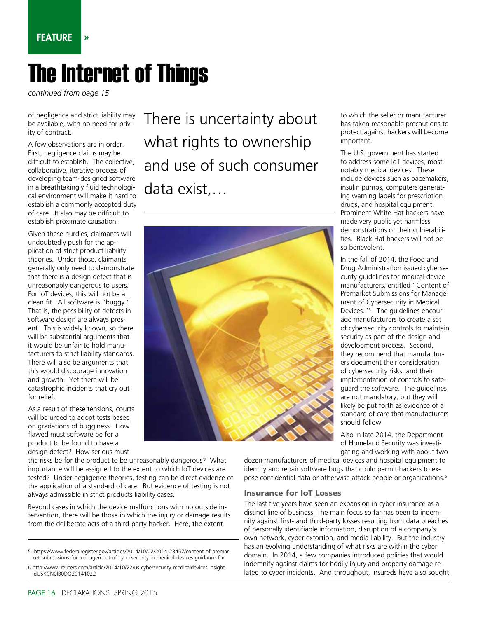#### FEATURE »

## The Internet of Things

*continued from page 15*

of negligence and strict liability may be available, with no need for privity of contract.

A few observations are in order. First, negligence claims may be difficult to establish. The collective, collaborative, iterative process of developing team-designed software in a breathtakingly fluid technological environment will make it hard to establish a commonly accepted duty of care. It also may be difficult to establish proximate causation.

Given these hurdles, claimants will undoubtedly push for the application of strict product liability theories. Under those, claimants generally only need to demonstrate that there is a design defect that is unreasonably dangerous to users. For IoT devices, this will not be a clean fit. All software is "buggy." That is, the possibility of defects in software design are always present. This is widely known, so there will be substantial arguments that it would be unfair to hold manufacturers to strict liability standards. There will also be arguments that this would discourage innovation and growth. Yet there will be catastrophic incidents that cry out for relief.

As a result of these tensions, courts will be urged to adopt tests based on gradations of bugginess. How flawed must software be for a product to be found to have a design defect? How serious must

the risks be for the product to be unreasonably dangerous? What importance will be assigned to the extent to which IoT devices are tested? Under negligence theories, testing can be direct evidence of the application of a standard of care. But evidence of testing is not always admissible in strict products liability cases.

Beyond cases in which the device malfunctions with no outside intervention, there will be those in which the injury or damage results from the deliberate acts of a third-party hacker. Here, the extent

5 https://www.federalregister.gov/articles/2014/10/02/2014-23457/content-of-premarket-submissions-for-management-of-cybersecurity-in-medical-devices-guidance-for

There is uncertainty about what rights to ownership and use of such consumer data exist,…



to which the seller or manufacturer has taken reasonable precautions to protect against hackers will become important.

The U.S. government has started to address some IoT devices, most notably medical devices. These include devices such as pacemakers, insulin pumps, computers generating warning labels for prescription drugs, and hospital equipment. Prominent White Hat hackers have made very public yet harmless demonstrations of their vulnerabilities. Black Hat hackers will not be so benevolent.

In the fall of 2014, the Food and Drug Administration issued cybersecurity guidelines for medical device manufacturers, entitled "Content of Premarket Submissions for Management of Cybersecurity in Medical Devices."5 The guidelines encourage manufacturers to create a set of cybersecurity controls to maintain security as part of the design and development process. Second, they recommend that manufacturers document their consideration of cybersecurity risks, and their implementation of controls to safeguard the software. The guidelines are not mandatory, but they will likely be put forth as evidence of a standard of care that manufacturers should follow.

Also in late 2014, the Department of Homeland Security was investigating and working with about two

dozen manufacturers of medical devices and hospital equipment to identify and repair software bugs that could permit hackers to expose confidential data or otherwise attack people or organizations.6

#### Insurance for IoT Losses

The last five years have seen an expansion in cyber insurance as a distinct line of business. The main focus so far has been to indemnify against first- and third-party losses resulting from data breaches of personally identifiable information, disruption of a company's own network, cyber extortion, and media liability. But the industry has an evolving understanding of what risks are within the cyber domain. In 2014, a few companies introduced policies that would indemnify against claims for bodily injury and property damage related to cyber incidents. And throughout, insureds have also sought

<sup>6</sup> http://www.reuters.com/article/2014/10/22/us-cybersecurity-medicaldevices-insightidUSKCN0IB0DQ20141022